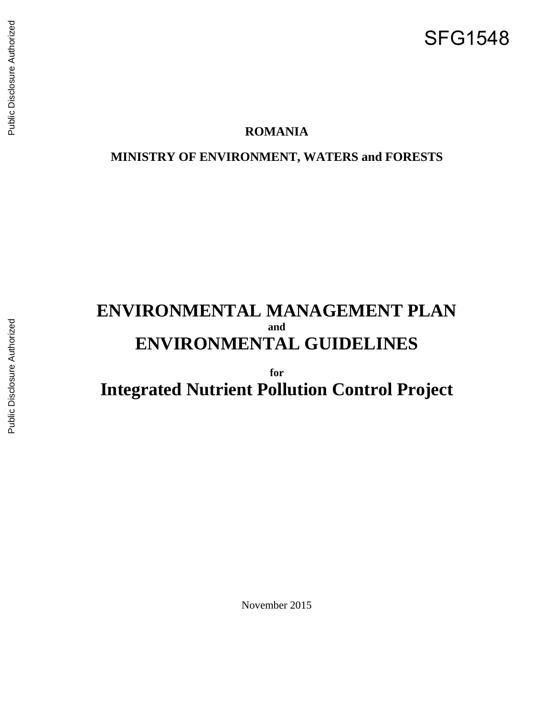# SFG1548

## **ROMANIA**

**MINISTRY OF ENVIRONMENT, WATERS and FORESTS**

## **ENVIRONMENTAL MANAGEMENT PLAN and ENVIRONMENTAL GUIDELINES**

**for Integrated Nutrient Pollution Control Project**

November 2015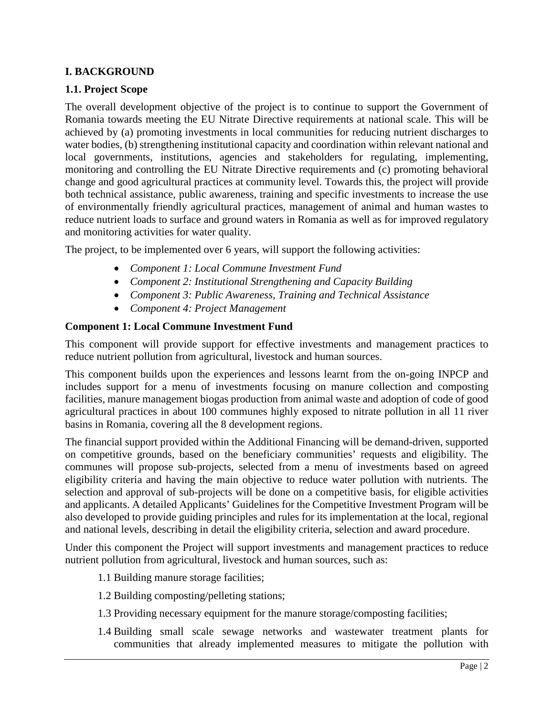## **I. BACKGROUND**

## **1.1. Project Scope**

The overall development objective of the project is to continue to support the Government of Romania towards meeting the EU Nitrate Directive requirements at national scale. This will be achieved by (a) promoting investments in local communities for reducing nutrient discharges to water bodies, (b) strengthening institutional capacity and coordination within relevant national and local governments, institutions, agencies and stakeholders for regulating, implementing, monitoring and controlling the EU Nitrate Directive requirements and (c) promoting behavioral change and good agricultural practices at community level. Towards this, the project will provide both technical assistance, public awareness, training and specific investments to increase the use of environmentally friendly agricultural practices, management of animal and human wastes to reduce nutrient loads to surface and ground waters in Romania as well as for improved regulatory and monitoring activities for water quality.

The project, to be implemented over 6 years, will support the following activities:

- *Component 1: Local Commune Investment Fund*
- *Component 2: Institutional Strengthening and Capacity Building*
- *Component 3: Public Awareness, Training and Technical Assistance*
- *Component 4: Project Management*

#### **Component 1: Local Commune Investment Fund**

This component will provide support for effective investments and management practices to reduce nutrient pollution from agricultural, livestock and human sources.

This component builds upon the experiences and lessons learnt from the on-going INPCP and includes support for a menu of investments focusing on manure collection and composting facilities, manure management biogas production from animal waste and adoption of code of good agricultural practices in about 100 communes highly exposed to nitrate pollution in all 11 river basins in Romania, covering all the 8 development regions.

The financial support provided within the Additional Financing will be demand-driven, supported on competitive grounds, based on the beneficiary communities' requests and eligibility. The communes will propose sub-projects, selected from a menu of investments based on agreed eligibility criteria and having the main objective to reduce water pollution with nutrients. The selection and approval of sub-projects will be done on a competitive basis, for eligible activities and applicants. A detailed Applicants' Guidelines for the Competitive Investment Program will be also developed to provide guiding principles and rules for its implementation at the local, regional and national levels, describing in detail the eligibility criteria, selection and award procedure.

Under this component the Project will support investments and management practices to reduce nutrient pollution from agricultural, livestock and human sources, such as:

- 1.1 Building manure storage facilities;
- 1.2 Building composting/pelleting stations;
- 1.3 Providing necessary equipment for the manure storage/composting facilities;
- 1.4 Building small scale sewage networks and wastewater treatment plants for communities that already implemented measures to mitigate the pollution with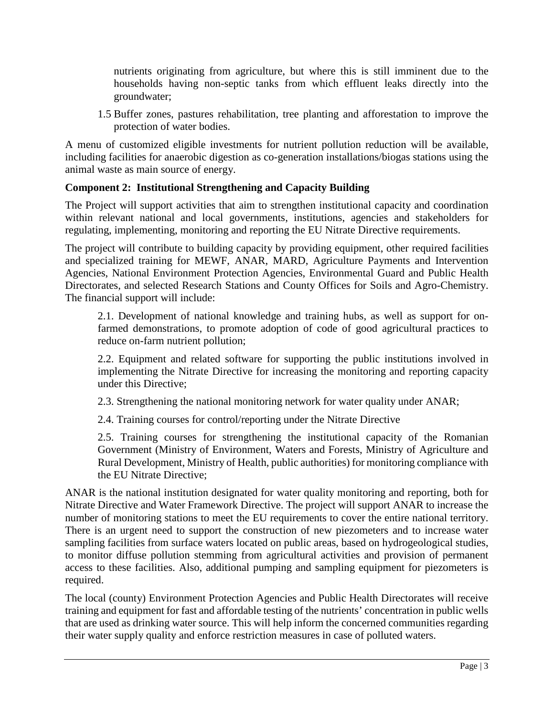nutrients originating from agriculture, but where this is still imminent due to the households having non-septic tanks from which effluent leaks directly into the groundwater;

1.5 Buffer zones, pastures rehabilitation, tree planting and afforestation to improve the protection of water bodies.

A menu of customized eligible investments for nutrient pollution reduction will be available, including facilities for anaerobic digestion as co-generation installations/biogas stations using the animal waste as main source of energy.

## **Component 2: Institutional Strengthening and Capacity Building**

The Project will support activities that aim to strengthen institutional capacity and coordination within relevant national and local governments, institutions, agencies and stakeholders for regulating, implementing, monitoring and reporting the EU Nitrate Directive requirements.

The project will contribute to building capacity by providing equipment, other required facilities and specialized training for MEWF, ANAR, MARD, Agriculture Payments and Intervention Agencies, National Environment Protection Agencies, Environmental Guard and Public Health Directorates, and selected Research Stations and County Offices for Soils and Agro-Chemistry. The financial support will include:

2.1. Development of national knowledge and training hubs, as well as support for onfarmed demonstrations, to promote adoption of code of good agricultural practices to reduce on-farm nutrient pollution;

2.2. Equipment and related software for supporting the public institutions involved in implementing the Nitrate Directive for increasing the monitoring and reporting capacity under this Directive;

2.3. Strengthening the national monitoring network for water quality under ANAR;

2.4. Training courses for control/reporting under the Nitrate Directive

2.5. Training courses for strengthening the institutional capacity of the Romanian Government (Ministry of Environment, Waters and Forests, Ministry of Agriculture and Rural Development, Ministry of Health, public authorities) for monitoring compliance with the EU Nitrate Directive;

ANAR is the national institution designated for water quality monitoring and reporting, both for Nitrate Directive and Water Framework Directive. The project will support ANAR to increase the number of monitoring stations to meet the EU requirements to cover the entire national territory. There is an urgent need to support the construction of new piezometers and to increase water sampling facilities from surface waters located on public areas, based on hydrogeological studies, to monitor diffuse pollution stemming from agricultural activities and provision of permanent access to these facilities. Also, additional pumping and sampling equipment for piezometers is required.

The local (county) Environment Protection Agencies and Public Health Directorates will receive training and equipment for fast and affordable testing of the nutrients' concentration in public wells that are used as drinking water source. This will help inform the concerned communities regarding their water supply quality and enforce restriction measures in case of polluted waters.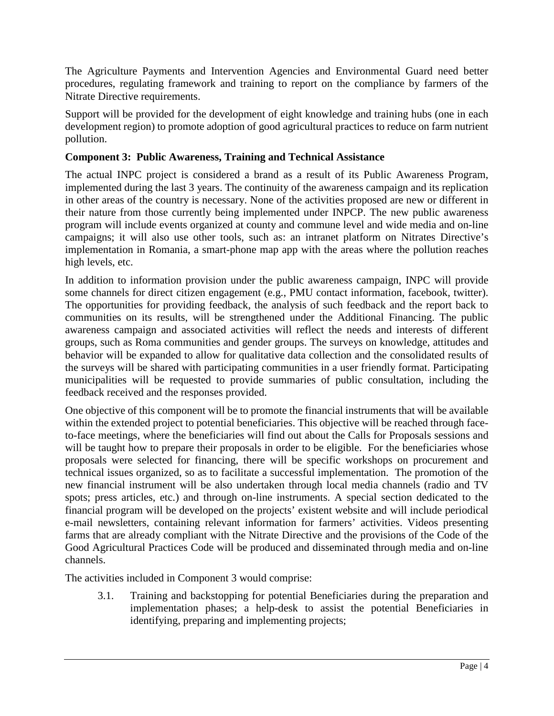The Agriculture Payments and Intervention Agencies and Environmental Guard need better procedures, regulating framework and training to report on the compliance by farmers of the Nitrate Directive requirements.

Support will be provided for the development of eight knowledge and training hubs (one in each development region) to promote adoption of good agricultural practices to reduce on farm nutrient pollution.

## **Component 3: Public Awareness, Training and Technical Assistance**

The actual INPC project is considered a brand as a result of its Public Awareness Program, implemented during the last 3 years. The continuity of the awareness campaign and its replication in other areas of the country is necessary. None of the activities proposed are new or different in their nature from those currently being implemented under INPCP. The new public awareness program will include events organized at county and commune level and wide media and on-line campaigns; it will also use other tools, such as: an intranet platform on Nitrates Directive's implementation in Romania, a smart-phone map app with the areas where the pollution reaches high levels, etc.

In addition to information provision under the public awareness campaign, INPC will provide some channels for direct citizen engagement (e.g., PMU contact information, facebook, twitter). The opportunities for providing feedback, the analysis of such feedback and the report back to communities on its results, will be strengthened under the Additional Financing. The public awareness campaign and associated activities will reflect the needs and interests of different groups, such as Roma communities and gender groups. The surveys on knowledge, attitudes and behavior will be expanded to allow for qualitative data collection and the consolidated results of the surveys will be shared with participating communities in a user friendly format. Participating municipalities will be requested to provide summaries of public consultation, including the feedback received and the responses provided.

One objective of this component will be to promote the financial instruments that will be available within the extended project to potential beneficiaries. This objective will be reached through faceto-face meetings, where the beneficiaries will find out about the Calls for Proposals sessions and will be taught how to prepare their proposals in order to be eligible. For the beneficiaries whose proposals were selected for financing, there will be specific workshops on procurement and technical issues organized, so as to facilitate a successful implementation. The promotion of the new financial instrument will be also undertaken through local media channels (radio and TV spots; press articles, etc.) and through on-line instruments. A special section dedicated to the financial program will be developed on the projects' existent website and will include periodical e-mail newsletters, containing relevant information for farmers' activities. Videos presenting farms that are already compliant with the Nitrate Directive and the provisions of the Code of the Good Agricultural Practices Code will be produced and disseminated through media and on-line channels.

The activities included in Component 3 would comprise:

3.1. Training and backstopping for potential Beneficiaries during the preparation and implementation phases; a help-desk to assist the potential Beneficiaries in identifying, preparing and implementing projects;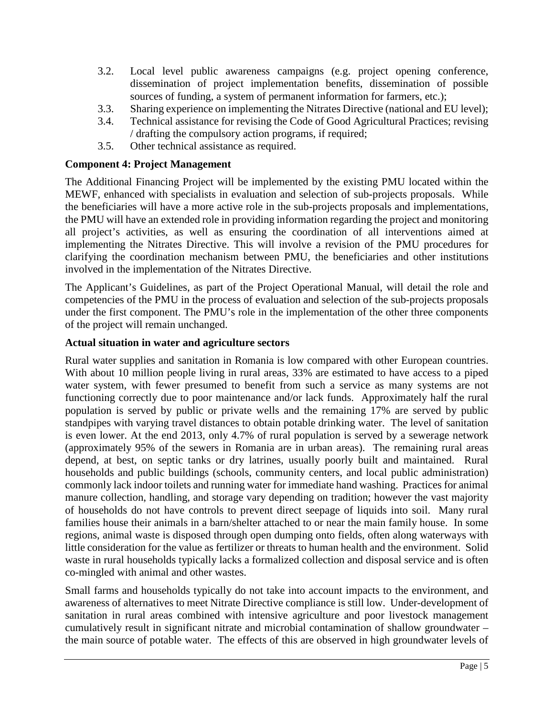- 3.2. Local level public awareness campaigns (e.g. project opening conference, dissemination of project implementation benefits, dissemination of possible sources of funding, a system of permanent information for farmers, etc.);
- 3.3. Sharing experience on implementing the Nitrates Directive (national and EU level);
- 3.4. Technical assistance for revising the Code of Good Agricultural Practices; revising / drafting the compulsory action programs, if required;
- 3.5. Other technical assistance as required.

## **Component 4: Project Management**

The Additional Financing Project will be implemented by the existing PMU located within the MEWF, enhanced with specialists in evaluation and selection of sub-projects proposals. While the beneficiaries will have a more active role in the sub-projects proposals and implementations, the PMU will have an extended role in providing information regarding the project and monitoring all project's activities, as well as ensuring the coordination of all interventions aimed at implementing the Nitrates Directive. This will involve a revision of the PMU procedures for clarifying the coordination mechanism between PMU, the beneficiaries and other institutions involved in the implementation of the Nitrates Directive.

The Applicant's Guidelines, as part of the Project Operational Manual, will detail the role and competencies of the PMU in the process of evaluation and selection of the sub-projects proposals under the first component. The PMU's role in the implementation of the other three components of the project will remain unchanged.

## **Actual situation in water and agriculture sectors**

Rural water supplies and sanitation in Romania is low compared with other European countries. With about 10 million people living in rural areas, 33% are estimated to have access to a piped water system, with fewer presumed to benefit from such a service as many systems are not functioning correctly due to poor maintenance and/or lack funds. Approximately half the rural population is served by public or private wells and the remaining 17% are served by public standpipes with varying travel distances to obtain potable drinking water. The level of sanitation is even lower. At the end 2013, only 4.7% of rural population is served by a sewerage network (approximately 95% of the sewers in Romania are in urban areas). The remaining rural areas depend, at best, on septic tanks or dry latrines, usually poorly built and maintained. Rural households and public buildings (schools, community centers, and local public administration) commonly lack indoor toilets and running water for immediate hand washing. Practices for animal manure collection, handling, and storage vary depending on tradition; however the vast majority of households do not have controls to prevent direct seepage of liquids into soil. Many rural families house their animals in a barn/shelter attached to or near the main family house. In some regions, animal waste is disposed through open dumping onto fields, often along waterways with little consideration for the value as fertilizer or threats to human health and the environment. Solid waste in rural households typically lacks a formalized collection and disposal service and is often co-mingled with animal and other wastes.

Small farms and households typically do not take into account impacts to the environment, and awareness of alternatives to meet Nitrate Directive compliance is still low. Under-development of sanitation in rural areas combined with intensive agriculture and poor livestock management cumulatively result in significant nitrate and microbial contamination of shallow groundwater – the main source of potable water. The effects of this are observed in high groundwater levels of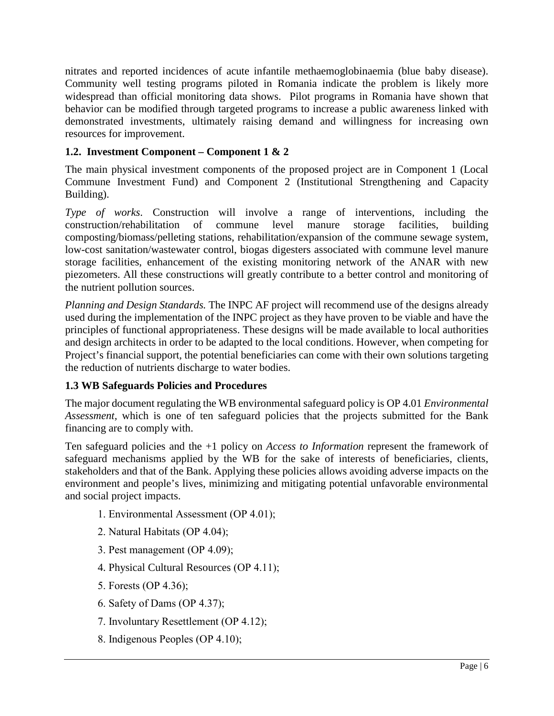nitrates and reported incidences of acute infantile methaemoglobinaemia (blue baby disease). Community well testing programs piloted in Romania indicate the problem is likely more widespread than official monitoring data shows. Pilot programs in Romania have shown that behavior can be modified through targeted programs to increase a public awareness linked with demonstrated investments, ultimately raising demand and willingness for increasing own resources for improvement.

## **1.2. Investment Component – Component 1 & 2**

The main physical investment components of the proposed project are in Component 1 (Local Commune Investment Fund) and Component 2 (Institutional Strengthening and Capacity Building).

*Type of works*. Construction will involve a range of interventions, including the construction/rehabilitation of commune level manure storage facilities, building composting/biomass/pelleting stations, rehabilitation/expansion of the commune sewage system, low-cost sanitation/wastewater control, biogas digesters associated with commune level manure storage facilities, enhancement of the existing monitoring network of the ANAR with new piezometers. All these constructions will greatly contribute to a better control and monitoring of the nutrient pollution sources.

*Planning and Design Standards.* The INPC AF project will recommend use of the designs already used during the implementation of the INPC project as they have proven to be viable and have the principles of functional appropriateness. These designs will be made available to local authorities and design architects in order to be adapted to the local conditions. However, when competing for Project's financial support, the potential beneficiaries can come with their own solutions targeting the reduction of nutrients discharge to water bodies.

## **1.3 WB Safeguards Policies and Procedures**

The major document regulating the WB environmental safeguard policy is OP 4.01 *Environmental Assessment,* which is one of ten safeguard policies that the projects submitted for the Bank financing are to comply with.

Ten safeguard policies and the +1 policy on *Access to Information* represent the framework of safeguard mechanisms applied by the WB for the sake of interests of beneficiaries, clients, stakeholders and that of the Bank. Applying these policies allows avoiding adverse impacts on the environment and people's lives, minimizing and mitigating potential unfavorable environmental and social project impacts.

- 1. Environmental Assessment (ОР 4.01);
- 2. Natural Habitats (ОР 4.04);
- 3. Pest management (ОР 4.09);
- 4. Physical Cultural Resources (ОР 4.11);
- 5. Forests (ОР 4.36);
- 6. Safety of Dams (ОР 4.37);
- 7. Involuntary Resettlement (ОР 4.12);
- 8. Indigenous Peoples (ОР 4.10);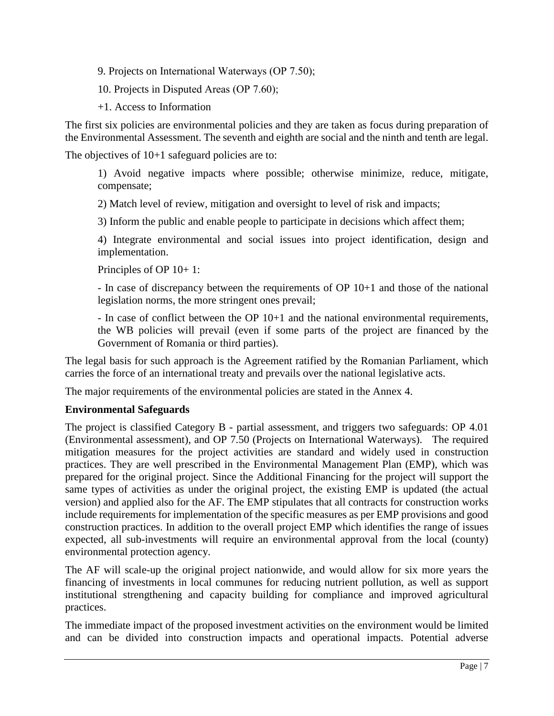- 9. Projects on International Waterways (OP 7.50);
- 10. Projects in Disputed Areas (ОР 7.60);
- +1. Access to Information

The first six policies are environmental policies and they are taken as focus during preparation of the Environmental Assessment. The seventh and eighth are social and the ninth and tenth are legal.

The objectives of 10+1 safeguard policies are to:

1) Avoid negative impacts where possible; otherwise minimize, reduce, mitigate, compensate;

2) Match level of review, mitigation and oversight to level of risk and impacts;

3) Inform the public and enable people to participate in decisions which affect them;

4) Integrate environmental and social issues into project identification, design and implementation.

Principles of OP 10+ 1:

- In case of discrepancy between the requirements of OP 10+1 and those of the national legislation norms, the more stringent ones prevail;

- In case of conflict between the OP 10+1 and the national environmental requirements, the WB policies will prevail (even if some parts of the project are financed by the Government of Romania or third parties).

The legal basis for such approach is the Agreement ratified by the Romanian Parliament, which carries the force of an international treaty and prevails over the national legislative acts.

The major requirements of the environmental policies are stated in the Annex 4.

## **Environmental Safeguards**

The project is classified Category B - partial assessment, and triggers two safeguards: OP 4.01 (Environmental assessment), and OP 7.50 (Projects on International Waterways). The required mitigation measures for the project activities are standard and widely used in construction practices. They are well prescribed in the Environmental Management Plan (EMP), which was prepared for the original project. Since the Additional Financing for the project will support the same types of activities as under the original project, the existing EMP is updated (the actual version) and applied also for the AF. The EMP stipulates that all contracts for construction works include requirements for implementation of the specific measures as per EMP provisions and good construction practices. In addition to the overall project EMP which identifies the range of issues expected, all sub-investments will require an environmental approval from the local (county) environmental protection agency.

The AF will scale-up the original project nationwide, and would allow for six more years the financing of investments in local communes for reducing nutrient pollution, as well as support institutional strengthening and capacity building for compliance and improved agricultural practices.

The immediate impact of the proposed investment activities on the environment would be limited and can be divided into construction impacts and operational impacts. Potential adverse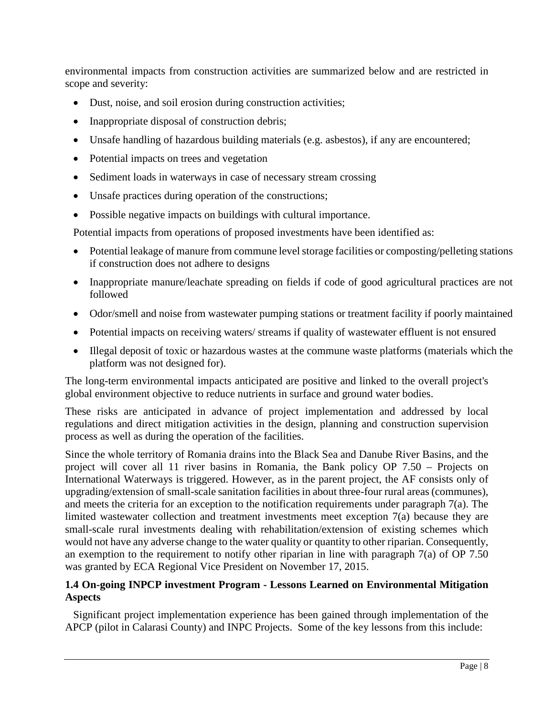environmental impacts from construction activities are summarized below and are restricted in scope and severity:

- Dust, noise, and soil erosion during construction activities;
- Inappropriate disposal of construction debris;
- Unsafe handling of hazardous building materials (e.g. asbestos), if any are encountered;
- Potential impacts on trees and vegetation
- Sediment loads in waterways in case of necessary stream crossing
- Unsafe practices during operation of the constructions;
- Possible negative impacts on buildings with cultural importance.

Potential impacts from operations of proposed investments have been identified as:

- Potential leakage of manure from commune level storage facilities or composting/pelleting stations if construction does not adhere to designs
- Inappropriate manure/leachate spreading on fields if code of good agricultural practices are not followed
- Odor/smell and noise from wastewater pumping stations or treatment facility if poorly maintained
- Potential impacts on receiving waters/ streams if quality of wastewater effluent is not ensured
- Illegal deposit of toxic or hazardous wastes at the commune waste platforms (materials which the platform was not designed for).

The long-term environmental impacts anticipated are positive and linked to the overall project's global environment objective to reduce nutrients in surface and ground water bodies.

These risks are anticipated in advance of project implementation and addressed by local regulations and direct mitigation activities in the design, planning and construction supervision process as well as during the operation of the facilities.

Since the whole territory of Romania drains into the Black Sea and Danube River Basins, and the project will cover all 11 river basins in Romania, the Bank policy OP 7.50 – Projects on International Waterways is triggered. However, as in the parent project, the AF consists only of upgrading/extension of small-scale sanitation facilities in about three-four rural areas (communes), and meets the criteria for an exception to the notification requirements under paragraph 7(a). The limited wastewater collection and treatment investments meet exception 7(a) because they are small-scale rural investments dealing with rehabilitation/extension of existing schemes which would not have any adverse change to the water quality or quantity to other riparian. Consequently, an exemption to the requirement to notify other riparian in line with paragraph 7(a) of OP 7.50 was granted by ECA Regional Vice President on November 17, 2015.

## **1.4 On-going INPCP investment Program - Lessons Learned on Environmental Mitigation Aspects**

Significant project implementation experience has been gained through implementation of the APCP (pilot in Calarasi County) and INPC Projects. Some of the key lessons from this include: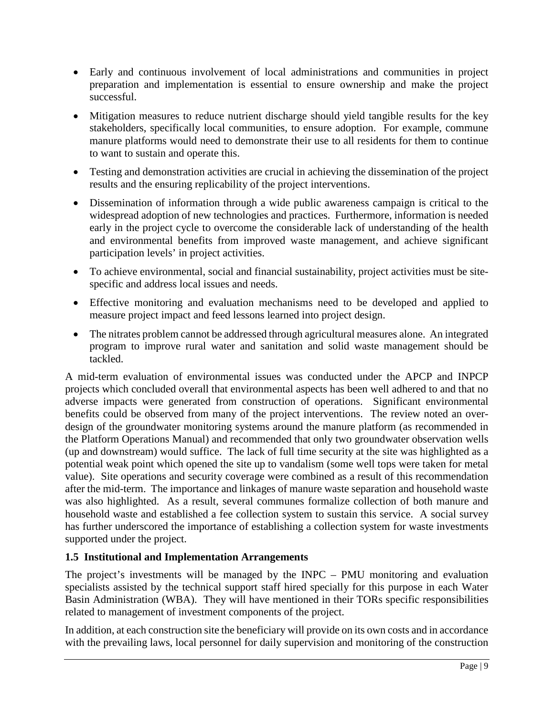- Early and continuous involvement of local administrations and communities in project preparation and implementation is essential to ensure ownership and make the project successful.
- Mitigation measures to reduce nutrient discharge should yield tangible results for the key stakeholders, specifically local communities, to ensure adoption. For example, commune manure platforms would need to demonstrate their use to all residents for them to continue to want to sustain and operate this.
- Testing and demonstration activities are crucial in achieving the dissemination of the project results and the ensuring replicability of the project interventions.
- Dissemination of information through a wide public awareness campaign is critical to the widespread adoption of new technologies and practices. Furthermore, information is needed early in the project cycle to overcome the considerable lack of understanding of the health and environmental benefits from improved waste management, and achieve significant participation levels' in project activities.
- To achieve environmental, social and financial sustainability, project activities must be sitespecific and address local issues and needs.
- Effective monitoring and evaluation mechanisms need to be developed and applied to measure project impact and feed lessons learned into project design.
- The nitrates problem cannot be addressed through agricultural measures alone. An integrated program to improve rural water and sanitation and solid waste management should be tackled.

A mid-term evaluation of environmental issues was conducted under the APCP and INPCP projects which concluded overall that environmental aspects has been well adhered to and that no adverse impacts were generated from construction of operations. Significant environmental benefits could be observed from many of the project interventions. The review noted an overdesign of the groundwater monitoring systems around the manure platform (as recommended in the Platform Operations Manual) and recommended that only two groundwater observation wells (up and downstream) would suffice. The lack of full time security at the site was highlighted as a potential weak point which opened the site up to vandalism (some well tops were taken for metal value). Site operations and security coverage were combined as a result of this recommendation after the mid-term. The importance and linkages of manure waste separation and household waste was also highlighted. As a result, several communes formalize collection of both manure and household waste and established a fee collection system to sustain this service. A social survey has further underscored the importance of establishing a collection system for waste investments supported under the project.

## **1.5 Institutional and Implementation Arrangements**

The project's investments will be managed by the INPC – PMU monitoring and evaluation specialists assisted by the technical support staff hired specially for this purpose in each Water Basin Administration (WBA). They will have mentioned in their TORs specific responsibilities related to management of investment components of the project.

In addition, at each construction site the beneficiary will provide on its own costs and in accordance with the prevailing laws, local personnel for daily supervision and monitoring of the construction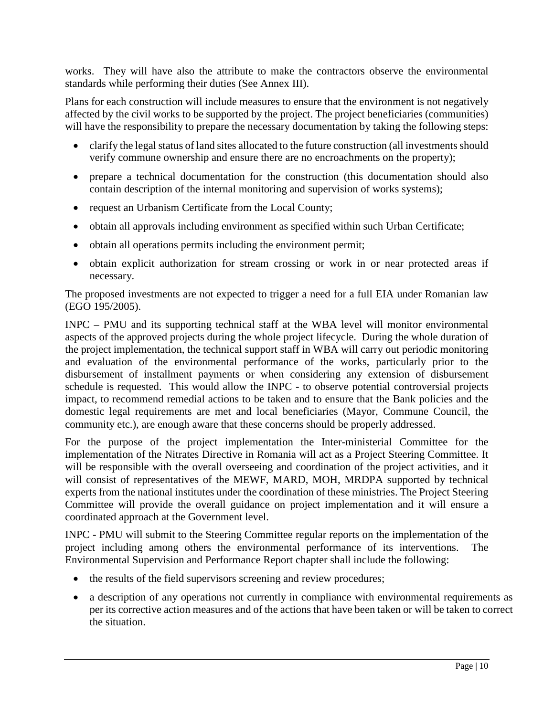works. They will have also the attribute to make the contractors observe the environmental standards while performing their duties (See Annex III).

Plans for each construction will include measures to ensure that the environment is not negatively affected by the civil works to be supported by the project. The project beneficiaries (communities) will have the responsibility to prepare the necessary documentation by taking the following steps:

- clarify the legal status of land sites allocated to the future construction (all investments should verify commune ownership and ensure there are no encroachments on the property);
- prepare a technical documentation for the construction (this documentation should also contain description of the internal monitoring and supervision of works systems);
- request an Urbanism Certificate from the Local County;
- obtain all approvals including environment as specified within such Urban Certificate;
- obtain all operations permits including the environment permit;
- obtain explicit authorization for stream crossing or work in or near protected areas if necessary.

The proposed investments are not expected to trigger a need for a full EIA under Romanian law (EGO 195/2005).

INPC – PMU and its supporting technical staff at the WBA level will monitor environmental aspects of the approved projects during the whole project lifecycle. During the whole duration of the project implementation, the technical support staff in WBA will carry out periodic monitoring and evaluation of the environmental performance of the works, particularly prior to the disbursement of installment payments or when considering any extension of disbursement schedule is requested. This would allow the INPC - to observe potential controversial projects impact, to recommend remedial actions to be taken and to ensure that the Bank policies and the domestic legal requirements are met and local beneficiaries (Mayor, Commune Council, the community etc.), are enough aware that these concerns should be properly addressed.

For the purpose of the project implementation the Inter-ministerial Committee for the implementation of the Nitrates Directive in Romania will act as a Project Steering Committee. It will be responsible with the overall overseeing and coordination of the project activities, and it will consist of representatives of the MEWF, MARD, MOH, MRDPA supported by technical experts from the national institutes under the coordination of these ministries. The Project Steering Committee will provide the overall guidance on project implementation and it will ensure a coordinated approach at the Government level.

INPC - PMU will submit to the Steering Committee regular reports on the implementation of the project including among others the environmental performance of its interventions. The Environmental Supervision and Performance Report chapter shall include the following:

- the results of the field supervisors screening and review procedures;
- a description of any operations not currently in compliance with environmental requirements as per its corrective action measures and of the actions that have been taken or will be taken to correct the situation.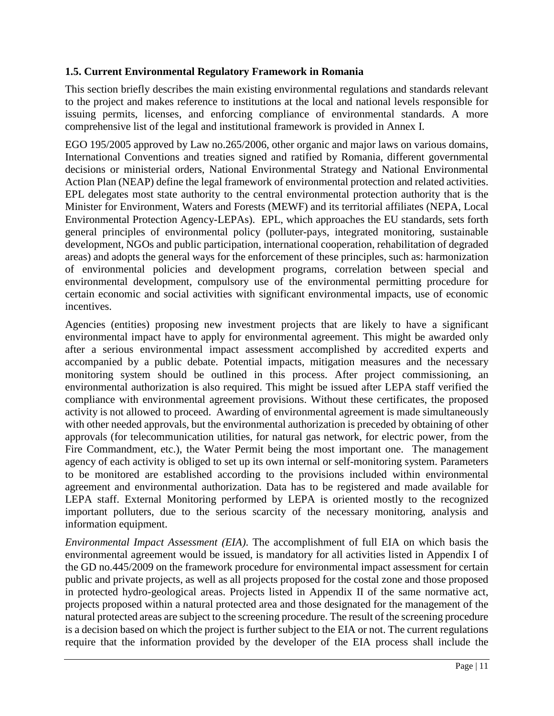## **1.5. Current Environmental Regulatory Framework in Romania**

This section briefly describes the main existing environmental regulations and standards relevant to the project and makes reference to institutions at the local and national levels responsible for issuing permits, licenses, and enforcing compliance of environmental standards. A more comprehensive list of the legal and institutional framework is provided in Annex I.

EGO 195/2005 approved by Law no.265/2006, other organic and major laws on various domains, International Conventions and treaties signed and ratified by Romania, different governmental decisions or ministerial orders, National Environmental Strategy and National Environmental Action Plan (NEAP) define the legal framework of environmental protection and related activities. EPL delegates most state authority to the central environmental protection authority that is the Minister for Environment, Waters and Forests (MEWF) and its territorial affiliates (NEPA, Local Environmental Protection Agency-LEPAs). EPL, which approaches the EU standards, sets forth general principles of environmental policy (polluter-pays, integrated monitoring, sustainable development, NGOs and public participation, international cooperation, rehabilitation of degraded areas) and adopts the general ways for the enforcement of these principles, such as: harmonization of environmental policies and development programs, correlation between special and environmental development, compulsory use of the environmental permitting procedure for certain economic and social activities with significant environmental impacts, use of economic incentives.

Agencies (entities) proposing new investment projects that are likely to have a significant environmental impact have to apply for environmental agreement. This might be awarded only after a serious environmental impact assessment accomplished by accredited experts and accompanied by a public debate. Potential impacts, mitigation measures and the necessary monitoring system should be outlined in this process. After project commissioning, an environmental authorization is also required. This might be issued after LEPA staff verified the compliance with environmental agreement provisions. Without these certificates, the proposed activity is not allowed to proceed. Awarding of environmental agreement is made simultaneously with other needed approvals, but the environmental authorization is preceded by obtaining of other approvals (for telecommunication utilities, for natural gas network, for electric power, from the Fire Commandment, etc.), the Water Permit being the most important one. The management agency of each activity is obliged to set up its own internal or self-monitoring system. Parameters to be monitored are established according to the provisions included within environmental agreement and environmental authorization. Data has to be registered and made available for LEPA staff. External Monitoring performed by LEPA is oriented mostly to the recognized important polluters, due to the serious scarcity of the necessary monitoring, analysis and information equipment.

*Environmental Impact Assessment (EIA)*. The accomplishment of full EIA on which basis the environmental agreement would be issued, is mandatory for all activities listed in Appendix I of the GD no.445/2009 on the framework procedure for environmental impact assessment for certain public and private projects, as well as all projects proposed for the costal zone and those proposed in protected hydro-geological areas. Projects listed in Appendix II of the same normative act, projects proposed within a natural protected area and those designated for the management of the natural protected areas are subject to the screening procedure. The result of the screening procedure is a decision based on which the project is further subject to the EIA or not. The current regulations require that the information provided by the developer of the EIA process shall include the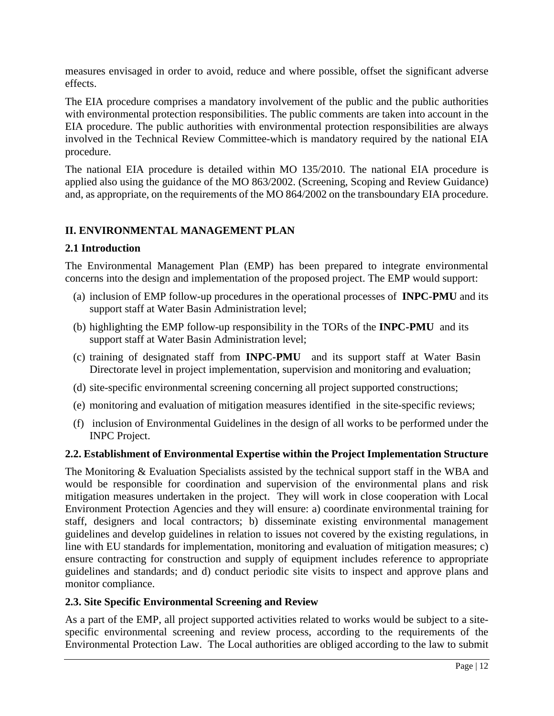measures envisaged in order to avoid, reduce and where possible, offset the significant adverse effects.

The EIA procedure comprises a mandatory involvement of the public and the public authorities with environmental protection responsibilities. The public comments are taken into account in the EIA procedure. The public authorities with environmental protection responsibilities are always involved in the Technical Review Committee-which is mandatory required by the national EIA procedure.

The national EIA procedure is detailed within MO 135/2010. The national EIA procedure is applied also using the guidance of the MO 863/2002. (Screening, Scoping and Review Guidance) and, as appropriate, on the requirements of the MO 864/2002 on the transboundary EIA procedure.

## **II. ENVIRONMENTAL MANAGEMENT PLAN**

## **2.1 Introduction**

The Environmental Management Plan (EMP) has been prepared to integrate environmental concerns into the design and implementation of the proposed project. The EMP would support:

- (a) inclusion of EMP follow-up procedures in the operational processes of **INPC-PMU** and its support staff at Water Basin Administration level;
- (b) highlighting the EMP follow-up responsibility in the TORs of the **INPC-PMU** and its support staff at Water Basin Administration level;
- (c) training of designated staff from **INPC-PMU** and its support staff at Water Basin Directorate level in project implementation, supervision and monitoring and evaluation;
- (d) site-specific environmental screening concerning all project supported constructions;
- (e) monitoring and evaluation of mitigation measures identified in the site-specific reviews;
- (f) inclusion of Environmental Guidelines in the design of all works to be performed under the INPC Project.

## **2.2. Establishment of Environmental Expertise within the Project Implementation Structure**

The Monitoring & Evaluation Specialists assisted by the technical support staff in the WBA and would be responsible for coordination and supervision of the environmental plans and risk mitigation measures undertaken in the project. They will work in close cooperation with Local Environment Protection Agencies and they will ensure: a) coordinate environmental training for staff, designers and local contractors; b) disseminate existing environmental management guidelines and develop guidelines in relation to issues not covered by the existing regulations, in line with EU standards for implementation, monitoring and evaluation of mitigation measures; c) ensure contracting for construction and supply of equipment includes reference to appropriate guidelines and standards; and d) conduct periodic site visits to inspect and approve plans and monitor compliance.

## **2.3. Site Specific Environmental Screening and Review**

As a part of the EMP, all project supported activities related to works would be subject to a sitespecific environmental screening and review process, according to the requirements of the Environmental Protection Law. The Local authorities are obliged according to the law to submit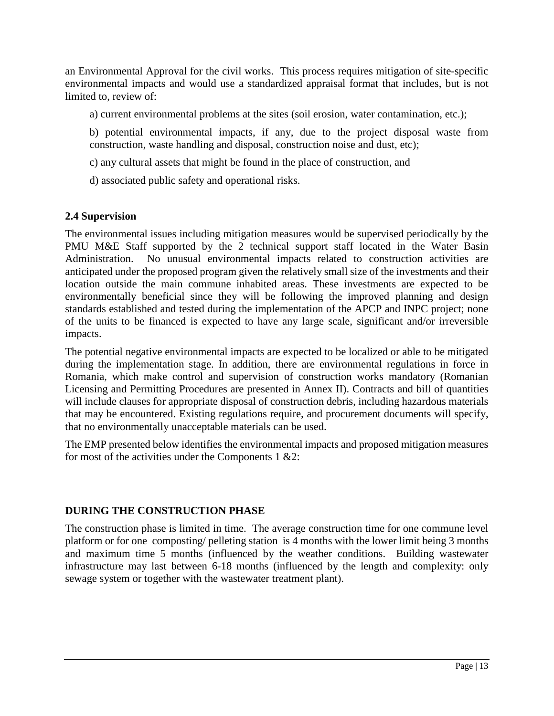an Environmental Approval for the civil works. This process requires mitigation of site-specific environmental impacts and would use a standardized appraisal format that includes, but is not limited to, review of:

a) current environmental problems at the sites (soil erosion, water contamination, etc.);

b) potential environmental impacts, if any, due to the project disposal waste from construction, waste handling and disposal, construction noise and dust, etc);

- c) any cultural assets that might be found in the place of construction, and
- d) associated public safety and operational risks.

## **2.4 Supervision**

The environmental issues including mitigation measures would be supervised periodically by the PMU M&E Staff supported by the 2 technical support staff located in the Water Basin Administration. No unusual environmental impacts related to construction activities are anticipated under the proposed program given the relatively small size of the investments and their location outside the main commune inhabited areas. These investments are expected to be environmentally beneficial since they will be following the improved planning and design standards established and tested during the implementation of the APCP and INPC project; none of the units to be financed is expected to have any large scale, significant and/or irreversible impacts.

The potential negative environmental impacts are expected to be localized or able to be mitigated during the implementation stage. In addition, there are environmental regulations in force in Romania, which make control and supervision of construction works mandatory (Romanian Licensing and Permitting Procedures are presented in Annex II). Contracts and bill of quantities will include clauses for appropriate disposal of construction debris, including hazardous materials that may be encountered. Existing regulations require, and procurement documents will specify, that no environmentally unacceptable materials can be used.

The EMP presented below identifies the environmental impacts and proposed mitigation measures for most of the activities under the Components  $1 \& 2$ :

## **DURING THE CONSTRUCTION PHASE**

The construction phase is limited in time. The average construction time for one commune level platform or for one composting/ pelleting station is 4 months with the lower limit being 3 months and maximum time 5 months (influenced by the weather conditions. Building wastewater infrastructure may last between 6-18 months (influenced by the length and complexity: only sewage system or together with the wastewater treatment plant).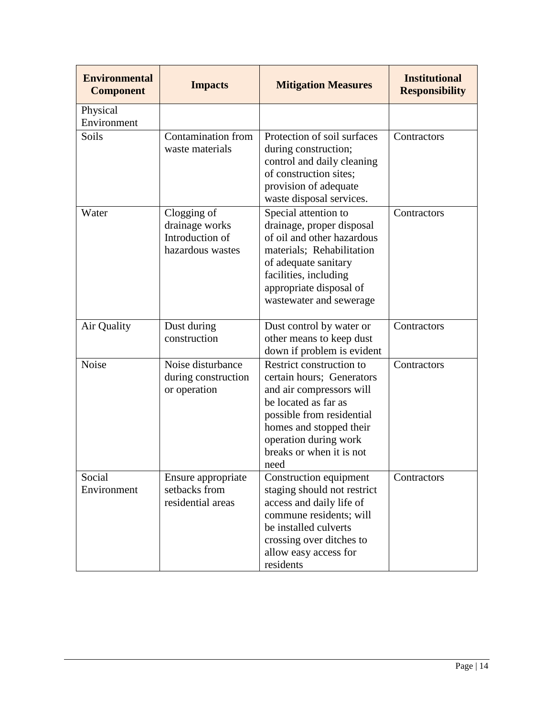| <b>Environmental</b><br><b>Component</b> | <b>Impacts</b>                                                       | <b>Mitigation Measures</b>                                                                                                                                                                                                     | <b>Institutional</b><br><b>Responsibility</b> |
|------------------------------------------|----------------------------------------------------------------------|--------------------------------------------------------------------------------------------------------------------------------------------------------------------------------------------------------------------------------|-----------------------------------------------|
| Physical<br>Environment                  |                                                                      |                                                                                                                                                                                                                                |                                               |
| Soils                                    | Contamination from<br>waste materials                                | Protection of soil surfaces<br>during construction;<br>control and daily cleaning<br>of construction sites;<br>provision of adequate<br>waste disposal services.                                                               | Contractors                                   |
| Water                                    | Clogging of<br>drainage works<br>Introduction of<br>hazardous wastes | Special attention to<br>drainage, proper disposal<br>of oil and other hazardous<br>materials; Rehabilitation<br>of adequate sanitary<br>facilities, including<br>appropriate disposal of<br>wastewater and sewerage            | Contractors                                   |
| Air Quality                              | Dust during<br>construction                                          | Dust control by water or<br>other means to keep dust<br>down if problem is evident                                                                                                                                             | Contractors                                   |
| Noise                                    | Noise disturbance<br>during construction<br>or operation             | Restrict construction to<br>certain hours; Generators<br>and air compressors will<br>be located as far as<br>possible from residential<br>homes and stopped their<br>operation during work<br>breaks or when it is not<br>need | Contractors                                   |
| Social<br>Environment                    | Ensure appropriate<br>setbacks from<br>residential areas             | Construction equipment<br>staging should not restrict<br>access and daily life of<br>commune residents; will<br>be installed culverts<br>crossing over ditches to<br>allow easy access for<br>residents                        | Contractors                                   |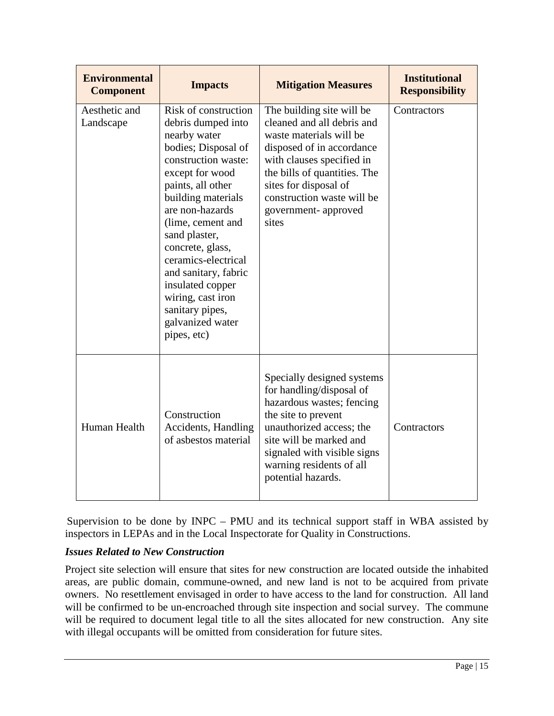| <b>Environmental</b><br><b>Component</b> | <b>Impacts</b>                                                                                                                                                                                                                                                                                                                                                                                    | <b>Mitigation Measures</b>                                                                                                                                                                                                                                          | <b>Institutional</b><br><b>Responsibility</b> |
|------------------------------------------|---------------------------------------------------------------------------------------------------------------------------------------------------------------------------------------------------------------------------------------------------------------------------------------------------------------------------------------------------------------------------------------------------|---------------------------------------------------------------------------------------------------------------------------------------------------------------------------------------------------------------------------------------------------------------------|-----------------------------------------------|
| Aesthetic and<br>Landscape               | Risk of construction<br>debris dumped into<br>nearby water<br>bodies; Disposal of<br>construction waste:<br>except for wood<br>paints, all other<br>building materials<br>are non-hazards<br>(lime, cement and<br>sand plaster,<br>concrete, glass,<br>ceramics-electrical<br>and sanitary, fabric<br>insulated copper<br>wiring, cast iron<br>sanitary pipes,<br>galvanized water<br>pipes, etc) | The building site will be<br>cleaned and all debris and<br>waste materials will be<br>disposed of in accordance<br>with clauses specified in<br>the bills of quantities. The<br>sites for disposal of<br>construction waste will be<br>government-approved<br>sites | Contractors                                   |
| Human Health                             | Construction<br><b>Accidents, Handling</b><br>of asbestos material                                                                                                                                                                                                                                                                                                                                | Specially designed systems<br>for handling/disposal of<br>hazardous wastes; fencing<br>the site to prevent<br>unauthorized access; the<br>site will be marked and<br>signaled with visible signs<br>warning residents of all<br>potential hazards.                  | Contractors                                   |

Supervision to be done by INPC – PMU and its technical support staff in WBA assisted by inspectors in LEPAs and in the Local Inspectorate for Quality in Constructions.

## *Issues Related to New Construction*

Project site selection will ensure that sites for new construction are located outside the inhabited areas, are public domain, commune-owned, and new land is not to be acquired from private owners. No resettlement envisaged in order to have access to the land for construction. All land will be confirmed to be un-encroached through site inspection and social survey. The commune will be required to document legal title to all the sites allocated for new construction. Any site with illegal occupants will be omitted from consideration for future sites.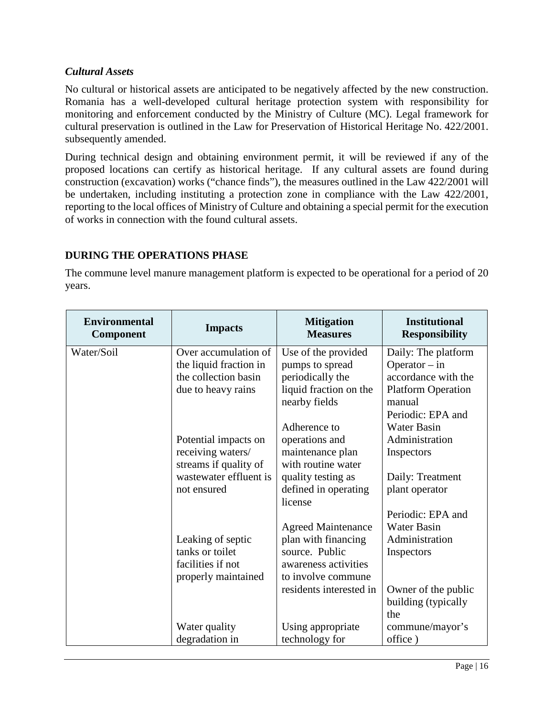## *Cultural Assets*

No cultural or historical assets are anticipated to be negatively affected by the new construction. Romania has a well-developed cultural heritage protection system with responsibility for monitoring and enforcement conducted by the Ministry of Culture (MC). Legal framework for cultural preservation is outlined in the Law for Preservation of Historical Heritage No. 422/2001. subsequently amended.

During technical design and obtaining environment permit, it will be reviewed if any of the proposed locations can certify as historical heritage. If any cultural assets are found during construction (excavation) works ("chance finds"), the measures outlined in the Law 422/2001 will be undertaken, including instituting a protection zone in compliance with the Law 422/2001, reporting to the local offices of Ministry of Culture and obtaining a special permit for the execution of works in connection with the found cultural assets.

## **DURING THE OPERATIONS PHASE**

The commune level manure management platform is expected to be operational for a period of 20 years.

| <b>Environmental</b><br>Component | <b>Impacts</b>         | <b>Mitigation</b><br><b>Measures</b> | <b>Institutional</b><br><b>Responsibility</b> |
|-----------------------------------|------------------------|--------------------------------------|-----------------------------------------------|
| Water/Soil                        | Over accumulation of   | Use of the provided                  | Daily: The platform                           |
|                                   | the liquid fraction in | pumps to spread                      | Operator $-$ in                               |
|                                   | the collection basin   | periodically the                     | accordance with the                           |
|                                   | due to heavy rains     | liquid fraction on the               | <b>Platform Operation</b>                     |
|                                   |                        | nearby fields                        | manual                                        |
|                                   |                        |                                      | Periodic: EPA and                             |
|                                   |                        | Adherence to                         | <b>Water Basin</b>                            |
|                                   | Potential impacts on   | operations and                       | Administration                                |
|                                   | receiving waters/      | maintenance plan                     | Inspectors                                    |
|                                   | streams if quality of  | with routine water                   |                                               |
|                                   | wastewater effluent is | quality testing as                   | Daily: Treatment                              |
|                                   | not ensured            | defined in operating                 | plant operator                                |
|                                   |                        | license                              |                                               |
|                                   |                        |                                      | Periodic: EPA and                             |
|                                   |                        | <b>Agreed Maintenance</b>            | <b>Water Basin</b>                            |
|                                   | Leaking of septic      | plan with financing                  | Administration                                |
|                                   | tanks or toilet        | source. Public                       | Inspectors                                    |
|                                   | facilities if not      | awareness activities                 |                                               |
|                                   | properly maintained    | to involve commune                   |                                               |
|                                   |                        | residents interested in              | Owner of the public                           |
|                                   |                        |                                      | building (typically                           |
|                                   |                        |                                      | the                                           |
|                                   | Water quality          | Using appropriate                    | commune/mayor's                               |
|                                   | degradation in         | technology for                       | office)                                       |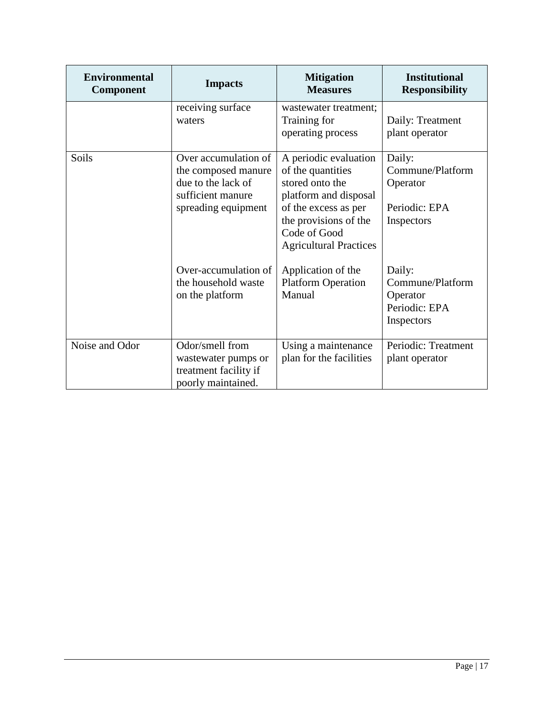| <b>Environmental</b><br>Component | <b>Impacts</b>                                                                                                | <b>Mitigation</b><br><b>Measures</b>                                                                                                                                                     | <b>Institutional</b><br><b>Responsibility</b>                         |
|-----------------------------------|---------------------------------------------------------------------------------------------------------------|------------------------------------------------------------------------------------------------------------------------------------------------------------------------------------------|-----------------------------------------------------------------------|
|                                   | receiving surface<br>waters                                                                                   | wastewater treatment;<br>Training for<br>operating process                                                                                                                               | Daily: Treatment<br>plant operator                                    |
| Soils                             | Over accumulation of<br>the composed manure<br>due to the lack of<br>sufficient manure<br>spreading equipment | A periodic evaluation<br>of the quantities<br>stored onto the<br>platform and disposal<br>of the excess as per<br>the provisions of the<br>Code of Good<br><b>Agricultural Practices</b> | Daily:<br>Commune/Platform<br>Operator<br>Periodic: EPA<br>Inspectors |
|                                   | Over-accumulation of<br>the household waste<br>on the platform                                                | Application of the<br><b>Platform Operation</b><br>Manual                                                                                                                                | Daily:<br>Commune/Platform<br>Operator<br>Periodic: EPA<br>Inspectors |
| Noise and Odor                    | Odor/smell from<br>wastewater pumps or<br>treatment facility if<br>poorly maintained.                         | Using a maintenance<br>plan for the facilities                                                                                                                                           | Periodic: Treatment<br>plant operator                                 |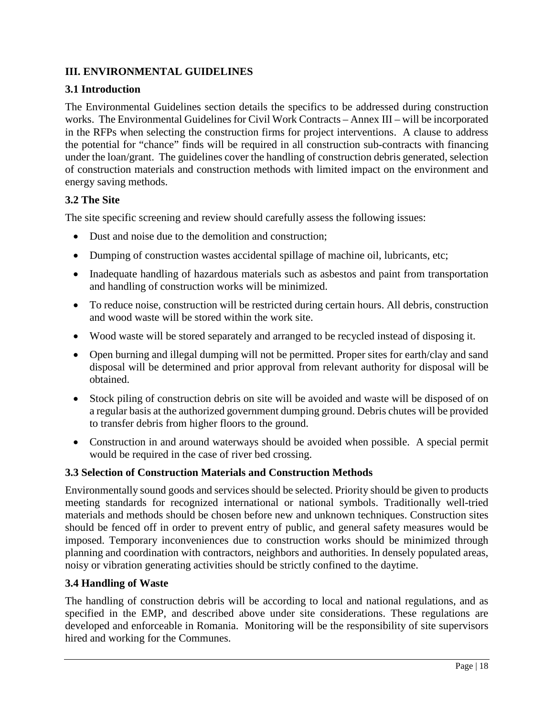## **III. ENVIRONMENTAL GUIDELINES**

## **3.1 Introduction**

The Environmental Guidelines section details the specifics to be addressed during construction works. The Environmental Guidelines for Civil Work Contracts – Annex III – will be incorporated in the RFPs when selecting the construction firms for project interventions. A clause to address the potential for "chance" finds will be required in all construction sub-contracts with financing under the loan/grant. The guidelines cover the handling of construction debris generated, selection of construction materials and construction methods with limited impact on the environment and energy saving methods.

## **3.2 The Site**

The site specific screening and review should carefully assess the following issues:

- Dust and noise due to the demolition and construction:
- Dumping of construction wastes accidental spillage of machine oil, lubricants, etc;
- Inadequate handling of hazardous materials such as asbestos and paint from transportation and handling of construction works will be minimized.
- To reduce noise, construction will be restricted during certain hours. All debris, construction and wood waste will be stored within the work site.
- Wood waste will be stored separately and arranged to be recycled instead of disposing it.
- Open burning and illegal dumping will not be permitted. Proper sites for earth/clay and sand disposal will be determined and prior approval from relevant authority for disposal will be obtained.
- Stock piling of construction debris on site will be avoided and waste will be disposed of on a regular basis at the authorized government dumping ground. Debris chutes will be provided to transfer debris from higher floors to the ground.
- Construction in and around waterways should be avoided when possible. A special permit would be required in the case of river bed crossing.

## **3.3 Selection of Construction Materials and Construction Methods**

Environmentally sound goods and services should be selected. Priority should be given to products meeting standards for recognized international or national symbols. Traditionally well-tried materials and methods should be chosen before new and unknown techniques. Construction sites should be fenced off in order to prevent entry of public, and general safety measures would be imposed. Temporary inconveniences due to construction works should be minimized through planning and coordination with contractors, neighbors and authorities. In densely populated areas, noisy or vibration generating activities should be strictly confined to the daytime.

## **3.4 Handling of Waste**

The handling of construction debris will be according to local and national regulations, and as specified in the EMP, and described above under site considerations. These regulations are developed and enforceable in Romania. Monitoring will be the responsibility of site supervisors hired and working for the Communes.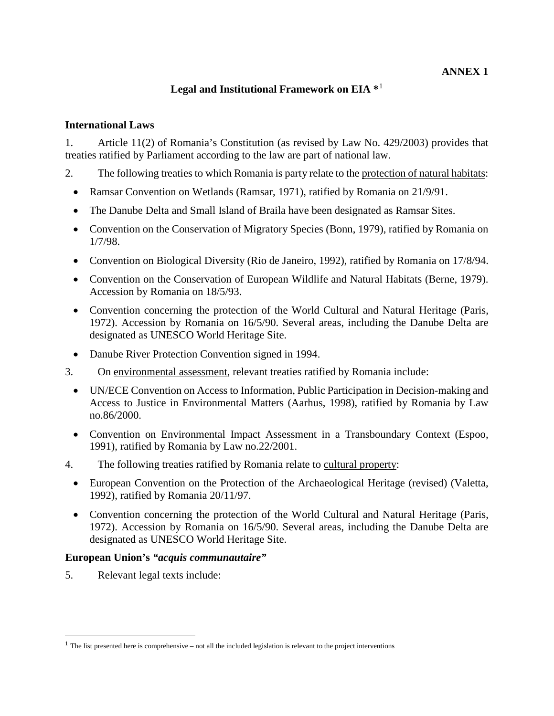### **Legal and Institutional Framework on EIA \***[1](#page-18-0)

#### **International Laws**

1. Article 11(2) of Romania's Constitution (as revised by Law No. 429/2003) provides that treaties ratified by Parliament according to the law are part of national law.

- 2. The following treaties to which Romania is party relate to the protection of natural habitats:
	- Ramsar Convention on Wetlands (Ramsar, 1971), ratified by Romania on 21/9/91.
	- The Danube Delta and Small Island of Braila have been designated as Ramsar Sites.
	- Convention on the Conservation of Migratory Species (Bonn, 1979), ratified by Romania on 1/7/98.
	- Convention on Biological Diversity (Rio de Janeiro, 1992), ratified by Romania on 17/8/94.
	- Convention on the Conservation of European Wildlife and Natural Habitats (Berne, 1979). Accession by Romania on 18/5/93.
	- Convention concerning the protection of the World Cultural and Natural Heritage (Paris, 1972). Accession by Romania on 16/5/90. Several areas, including the Danube Delta are designated as UNESCO World Heritage Site.
	- Danube River Protection Convention signed in 1994.
- 3. On environmental assessment, relevant treaties ratified by Romania include:
	- UN/ECE Convention on Access to Information, Public Participation in Decision-making and Access to Justice in Environmental Matters (Aarhus, 1998), ratified by Romania by Law no.86/2000.
	- Convention on Environmental Impact Assessment in a Transboundary Context (Espoo, 1991), ratified by Romania by Law no.22/2001.
- 4. The following treaties ratified by Romania relate to cultural property:
	- [European Convention](http://conventions.coe.int/Treaty/EN/WhatYouWant.asp?NT=143&CM=8&DF=15/04/02) on the Protection of the Archaeological Heritage (revised) (Valetta, 1992), ratified by Romania 20/11/97.
	- Convention concerning the protection of the World Cultural and Natural Heritage (Paris, 1972). Accession by Romania on 16/5/90. Several areas, including the Danube Delta are designated as UNESCO World Heritage Site.

#### **European Union's** *"acquis communautaire"*

5. Relevant legal texts include:

 $\overline{a}$ 

<span id="page-18-0"></span> $1$  The list presented here is comprehensive – not all the included legislation is relevant to the project interventions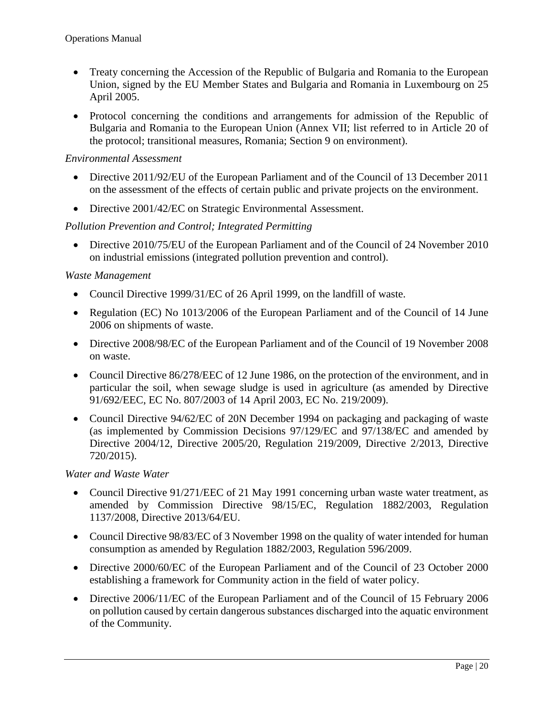- Treaty concerning the Accession of the Republic of Bulgaria and Romania to the European Union, signed by the EU Member States and Bulgaria and Romania in Luxembourg on 25 April 2005.
- Protocol concerning the conditions and arrangements for admission of the Republic of Bulgaria and Romania to the European Union (Annex VII; list referred to in Article 20 of the protocol; transitional measures, Romania; Section 9 on environment).

#### *Environmental Assessment*

- Directive 2011/92/EU of the European Parliament and of the Council of 13 December 2011 on the assessment of the effects of certain public and private projects on the environment.
- Directive 2001/42/EC on Strategic Environmental Assessment.

#### *Pollution Prevention and Control; Integrated Permitting*

• Directive 2010/75/EU of the European Parliament and of the Council of 24 November 2010 on industrial emissions (integrated pollution prevention and control).

#### *Waste Management*

- Council Directive 1999/31/EC of 26 April 1999, on the landfill of waste.
- Regulation (EC) No 1013/2006 of the European Parliament and of the Council of 14 June 2006 on shipments of waste.
- Directive 2008/98/EC of the European Parliament and of the Council of 19 November 2008 on waste.
- Council Directive 86/278/EEC of 12 June 1986, on the protection of the environment, and in particular the soil, when sewage sludge is used in agriculture (as amended by Directive 91/692/EEC, EC No. 807/2003 of 14 April 2003, EC No. 219/2009).
- Council Directive 94/62/EC of 20N December 1994 on packaging and packaging of waste (as implemented by Commission Decisions 97/129/EC and 97/138/EC and amended by Directive 2004/12, Directive 2005/20, Regulation 219/2009, Directive 2/2013, Directive 720/2015).

#### *Water and Waste Water*

- Council Directive 91/271/EEC of 21 May 1991 concerning urban waste water treatment, as amended by Commission Directive 98/15/EC, Regulation 1882/2003, Regulation 1137/2008, Directive 2013/64/EU.
- Council Directive 98/83/EC of 3 November 1998 on the quality of water intended for human consumption as amended by Regulation 1882/2003, Regulation 596/2009.
- Directive 2000/60/EC of the European Parliament and of the Council of 23 October 2000 establishing a framework for Community action in the field of water policy.
- Directive 2006/11/EC of the European Parliament and of the Council of 15 February 2006 on pollution caused by certain dangerous substances discharged into the aquatic environment of the Community.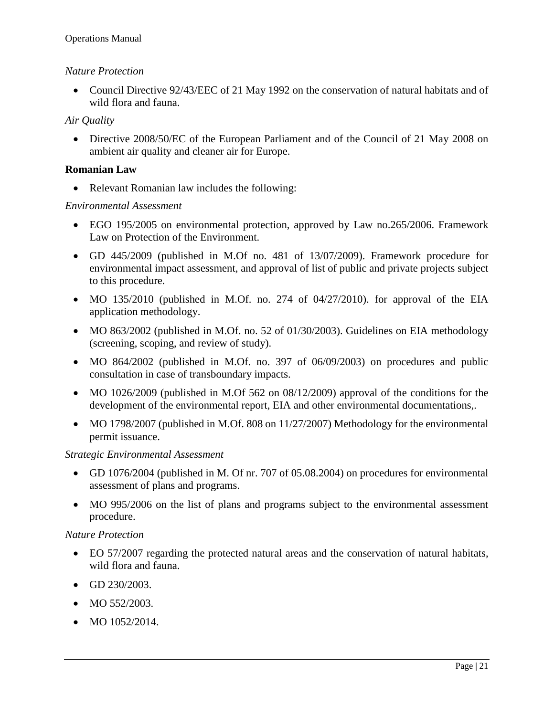#### *Nature Protection*

• Council Directive 92/43/EEC of 21 May 1992 on the conservation of natural habitats and of wild flora and fauna.

#### *Air Quality*

• Directive 2008/50/EC of the European Parliament and of the Council of 21 May 2008 on ambient air quality and cleaner air for Europe.

#### **Romanian Law**

• Relevant Romanian law includes the following:

#### *Environmental Assessment*

- EGO 195/2005 on environmental protection, approved by Law no.265/2006. Framework Law on Protection of the Environment.
- GD 445/2009 (published in M.Of no. 481 of 13/07/2009). Framework procedure for environmental impact assessment, and approval of list of public and private projects subject to this procedure.
- MO 135/2010 (published in M.Of. no. 274 of  $04/27/2010$ ). for approval of the EIA application methodology.
- MO 863/2002 (published in M.Of. no. 52 of 01/30/2003). Guidelines on EIA methodology (screening, scoping, and review of study).
- MO 864/2002 (published in M.Of. no. 397 of 06/09/2003) on procedures and public consultation in case of transboundary impacts.
- MO 1026/2009 (published in M.Of 562 on 08/12/2009) approval of the conditions for the development of the environmental report, EIA and other environmental documentations,.
- MO 1798/2007 (published in M.Of. 808 on 11/27/2007) Methodology for the environmental permit issuance.

#### *Strategic Environmental Assessment*

- GD 1076/2004 (published in M. Of nr. 707 of 05.08.2004) on procedures for environmental assessment of plans and programs.
- MO 995/2006 on the list of plans and programs subject to the environmental assessment procedure.

#### *Nature Protection*

- EO 57/2007 regarding the protected natural areas and the conservation of natural habitats, wild flora and fauna.
- GD 230/2003.
- MO 552/2003.
- MO  $1052/2014$ .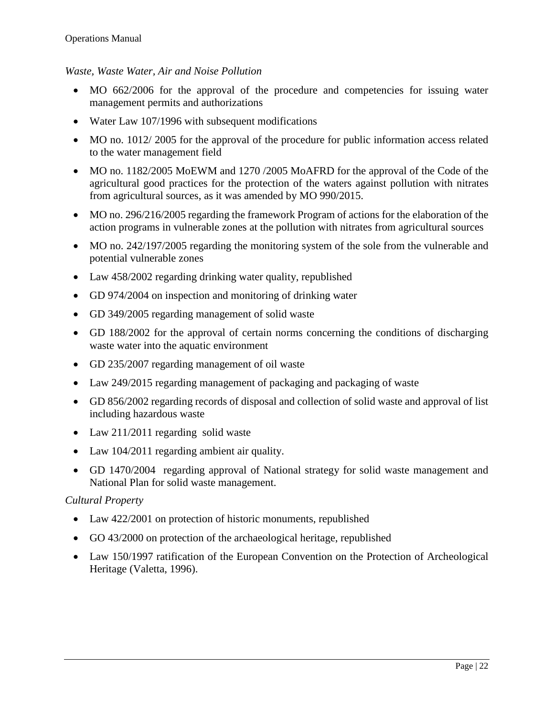#### *Waste, Waste Water, Air and Noise Pollution*

- MO 662/2006 for the approval of the procedure and competencies for issuing water management permits and authorizations
- Water Law 107/1996 with subsequent modifications
- MO no. 1012/2005 for the approval of the procedure for public information access related to the water management field
- MO no. 1182/2005 MoEWM and 1270 /2005 MoAFRD for the approval of the Code of the agricultural good practices for the protection of the waters against pollution with nitrates from agricultural sources, as it was amended by MO 990/2015.
- MO no. 296/216/2005 regarding the framework Program of actions for the elaboration of the action programs in vulnerable zones at the pollution with nitrates from agricultural sources
- MO no. 242/197/2005 regarding the monitoring system of the sole from the vulnerable and potential vulnerable zones
- Law 458/2002 regarding drinking water quality, republished
- GD 974/2004 on inspection and monitoring of drinking water
- GD 349/2005 regarding management of solid waste
- GD 188/2002 for the approval of certain norms concerning the conditions of discharging waste water into the aquatic environment
- GD 235/2007 regarding management of oil waste
- Law 249/2015 regarding management of packaging and packaging of waste
- GD 856/2002 regarding records of disposal and collection of solid waste and approval of list including hazardous waste
- Law 211/2011 regarding solid waste
- Law 104/2011 regarding ambient air quality.
- GD 1470/2004 regarding approval of National strategy for solid waste management and National Plan for solid waste management.

#### *Cultural Property*

- Law 422/2001 on protection of historic monuments, republished
- GO 43/2000 on protection of the archaeological heritage, republished
- Law 150/1997 ratification of the European Convention on the Protection of Archeological Heritage (Valetta, 1996).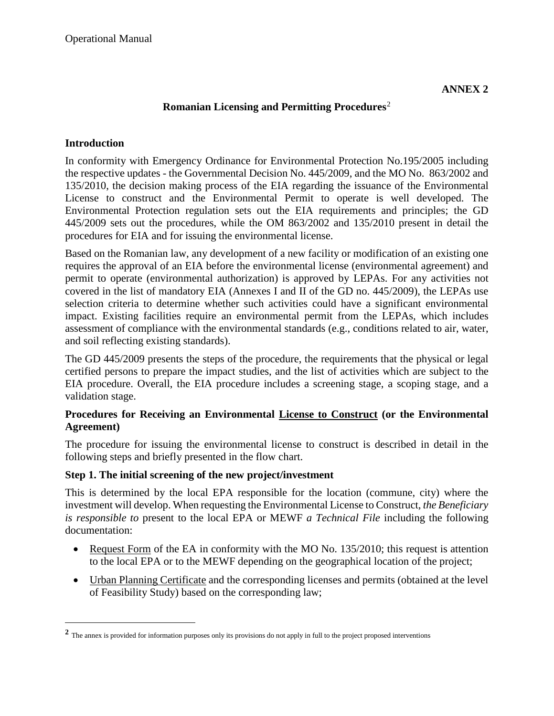## **Romanian Licensing and Permitting Procedures**[2](#page-22-0)

### **Introduction**

 $\overline{a}$ 

In conformity with Emergency Ordinance for Environmental Protection No.195/2005 including the respective updates - the Governmental Decision No. 445/2009, and the MO No. 863/2002 and 135/2010, the decision making process of the EIA regarding the issuance of the Environmental License to construct and the Environmental Permit to operate is well developed. The Environmental Protection regulation sets out the EIA requirements and principles; the GD 445/2009 sets out the procedures, while the OM 863/2002 and 135/2010 present in detail the procedures for EIA and for issuing the environmental license.

Based on the Romanian law, any development of a new facility or modification of an existing one requires the approval of an EIA before the environmental license (environmental agreement) and permit to operate (environmental authorization) is approved by LEPAs. For any activities not covered in the list of mandatory EIA (Annexes I and II of the GD no. 445/2009), the LEPAs use selection criteria to determine whether such activities could have a significant environmental impact. Existing facilities require an environmental permit from the LEPAs, which includes assessment of compliance with the environmental standards (e.g., conditions related to air, water, and soil reflecting existing standards).

The GD 445/2009 presents the steps of the procedure, the requirements that the physical or legal certified persons to prepare the impact studies, and the list of activities which are subject to the EIA procedure. Overall, the EIA procedure includes a screening stage, a scoping stage, and a validation stage.

## **Procedures for Receiving an Environmental License to Construct (or the Environmental Agreement)**

The procedure for issuing the environmental license to construct is described in detail in the following steps and briefly presented in the flow chart.

## **Step 1. The initial screening of the new project/investment**

This is determined by the local EPA responsible for the location (commune, city) where the investment will develop. When requesting the Environmental License to Construct, *the Beneficiary is responsible to* present to the local EPA or MEWF *a Technical File* including the following documentation:

- Request Form of the EA in conformity with the MO No. 135/2010; this request is attention to the local EPA or to the MEWF depending on the geographical location of the project;
- Urban Planning Certificate and the corresponding licenses and permits (obtained at the level of Feasibility Study) based on the corresponding law;

<span id="page-22-0"></span><sup>&</sup>lt;sup>2</sup> The annex is provided for information purposes only its provisions do not apply in full to the project proposed interventions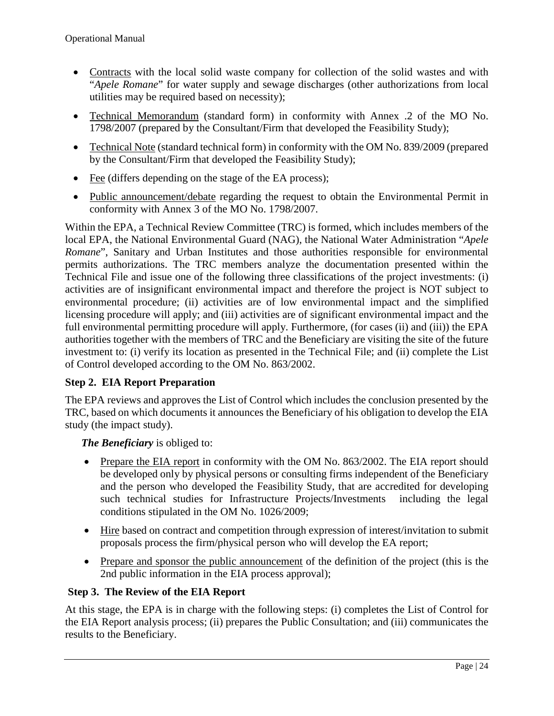- Contracts with the local solid waste company for collection of the solid wastes and with "*Apele Romane*" for water supply and sewage discharges (other authorizations from local utilities may be required based on necessity);
- Technical Memorandum (standard form) in conformity with Annex .2 of the MO No. 1798/2007 (prepared by the Consultant/Firm that developed the Feasibility Study);
- Technical Note (standard technical form) in conformity with the OM No. 839/2009 (prepared by the Consultant/Firm that developed the Feasibility Study);
- Fee (differs depending on the stage of the EA process);
- Public announcement/debate regarding the request to obtain the Environmental Permit in conformity with Annex 3 of the MO No. 1798/2007.

Within the EPA, a Technical Review Committee (TRC) is formed, which includes members of the local EPA, the National Environmental Guard (NAG), the National Water Administration "*Apele Romane*", Sanitary and Urban Institutes and those authorities responsible for environmental permits authorizations. The TRC members analyze the documentation presented within the Technical File and issue one of the following three classifications of the project investments: (i) activities are of insignificant environmental impact and therefore the project is NOT subject to environmental procedure; (ii) activities are of low environmental impact and the simplified licensing procedure will apply; and (iii) activities are of significant environmental impact and the full environmental permitting procedure will apply. Furthermore, (for cases (ii) and (iii)) the EPA authorities together with the members of TRC and the Beneficiary are visiting the site of the future investment to: (i) verify its location as presented in the Technical File; and (ii) complete the List of Control developed according to the OM No. 863/2002.

## **Step 2. EIA Report Preparation**

The EPA reviews and approves the List of Control which includes the conclusion presented by the TRC, based on which documents it announces the Beneficiary of his obligation to develop the EIA study (the impact study).

## *The Beneficiary* is obliged to:

- Prepare the EIA report in conformity with the OM No. 863/2002. The EIA report should be developed only by physical persons or consulting firms independent of the Beneficiary and the person who developed the Feasibility Study, that are accredited for developing such technical studies for Infrastructure Projects/Investments including the legal conditions stipulated in the OM No. 1026/2009;
- Hire based on contract and competition through expression of interest/invitation to submit proposals process the firm/physical person who will develop the EA report;
- Prepare and sponsor the public announcement of the definition of the project (this is the 2nd public information in the EIA process approval);

## **Step 3. The Review of the EIA Report**

At this stage, the EPA is in charge with the following steps: (i) completes the List of Control for the EIA Report analysis process; (ii) prepares the Public Consultation; and (iii) communicates the results to the Beneficiary.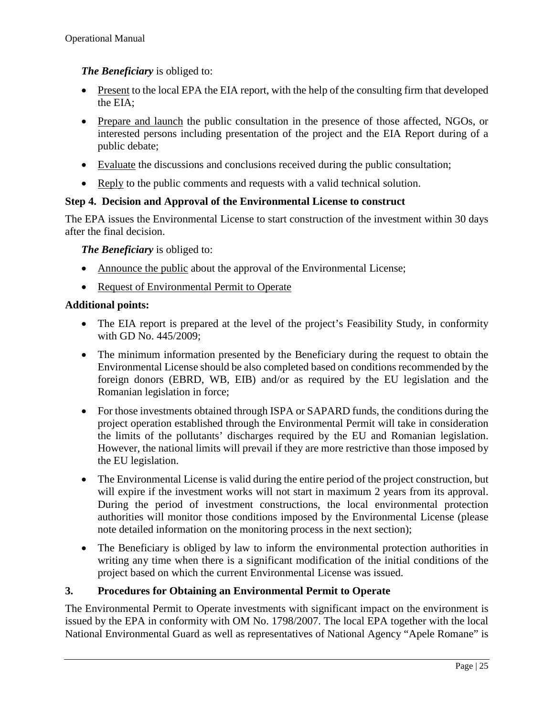## *The Beneficiary* is obliged to:

- Present to the local EPA the EIA report, with the help of the consulting firm that developed the EIA;
- Prepare and launch the public consultation in the presence of those affected, NGOs, or interested persons including presentation of the project and the EIA Report during of a public debate;
- Evaluate the discussions and conclusions received during the public consultation;
- Reply to the public comments and requests with a valid technical solution.

## **Step 4. Decision and Approval of the Environmental License to construct**

The EPA issues the Environmental License to start construction of the investment within 30 days after the final decision.

*The Beneficiary* is obliged to:

- Announce the public about the approval of the Environmental License;
- Request of Environmental Permit to Operate

#### **Additional points:**

- The EIA report is prepared at the level of the project's Feasibility Study, in conformity with GD No. 445/2009;
- The minimum information presented by the Beneficiary during the request to obtain the Environmental License should be also completed based on conditions recommended by the foreign donors (EBRD, WB, EIB) and/or as required by the EU legislation and the Romanian legislation in force;
- For those investments obtained through ISPA or SAPARD funds, the conditions during the project operation established through the Environmental Permit will take in consideration the limits of the pollutants' discharges required by the EU and Romanian legislation. However, the national limits will prevail if they are more restrictive than those imposed by the EU legislation.
- The Environmental License is valid during the entire period of the project construction, but will expire if the investment works will not start in maximum 2 years from its approval. During the period of investment constructions, the local environmental protection authorities will monitor those conditions imposed by the Environmental License (please note detailed information on the monitoring process in the next section);
- The Beneficiary is obliged by law to inform the environmental protection authorities in writing any time when there is a significant modification of the initial conditions of the project based on which the current Environmental License was issued.

## **3. Procedures for Obtaining an Environmental Permit to Operate**

The Environmental Permit to Operate investments with significant impact on the environment is issued by the EPA in conformity with OM No. 1798/2007. The local EPA together with the local National Environmental Guard as well as representatives of National Agency "Apele Romane" is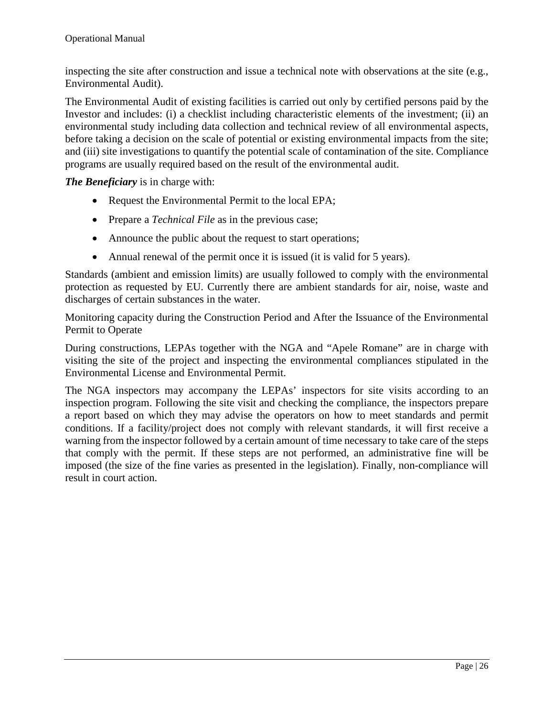inspecting the site after construction and issue a technical note with observations at the site (e.g., Environmental Audit).

The Environmental Audit of existing facilities is carried out only by certified persons paid by the Investor and includes: (i) a checklist including characteristic elements of the investment; (ii) an environmental study including data collection and technical review of all environmental aspects, before taking a decision on the scale of potential or existing environmental impacts from the site; and (iii) site investigations to quantify the potential scale of contamination of the site. Compliance programs are usually required based on the result of the environmental audit.

*The Beneficiary* is in charge with:

- Request the Environmental Permit to the local EPA;
- Prepare a *Technical File* as in the previous case;
- Announce the public about the request to start operations;
- Annual renewal of the permit once it is issued (it is valid for 5 years).

Standards (ambient and emission limits) are usually followed to comply with the environmental protection as requested by EU. Currently there are ambient standards for air, noise, waste and discharges of certain substances in the water.

Monitoring capacity during the Construction Period and After the Issuance of the Environmental Permit to Operate

During constructions, LEPAs together with the NGA and "Apele Romane" are in charge with visiting the site of the project and inspecting the environmental compliances stipulated in the Environmental License and Environmental Permit.

The NGA inspectors may accompany the LEPAs' inspectors for site visits according to an inspection program. Following the site visit and checking the compliance, the inspectors prepare a report based on which they may advise the operators on how to meet standards and permit conditions. If a facility/project does not comply with relevant standards, it will first receive a warning from the inspector followed by a certain amount of time necessary to take care of the steps that comply with the permit. If these steps are not performed, an administrative fine will be imposed (the size of the fine varies as presented in the legislation). Finally, non-compliance will result in court action.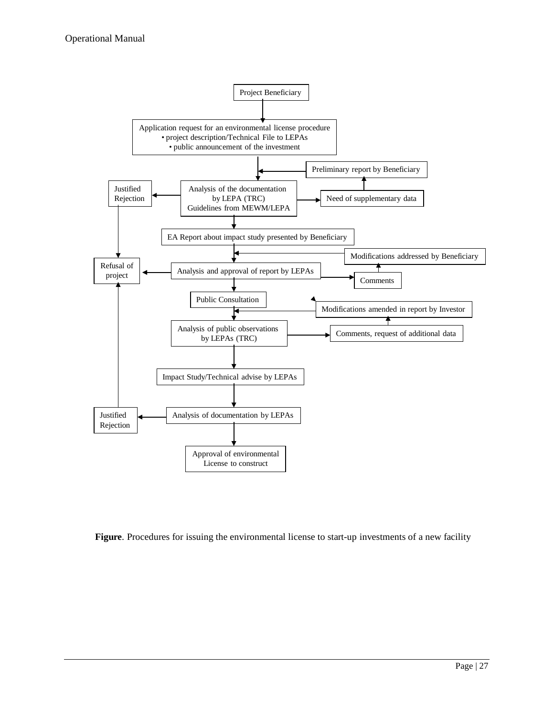

**Figure**. Procedures for issuing the environmental license to start-up investments of a new facility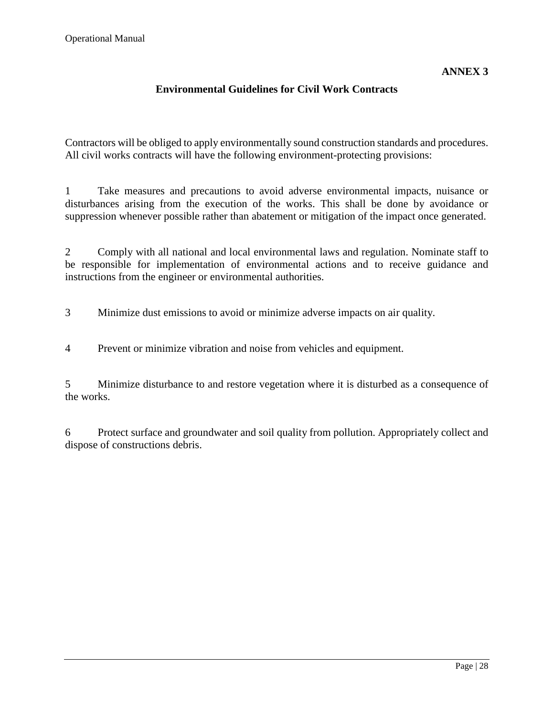## **Environmental Guidelines for Civil Work Contracts**

Contractors will be obliged to apply environmentally sound construction standards and procedures. All civil works contracts will have the following environment-protecting provisions:

1 Take measures and precautions to avoid adverse environmental impacts, nuisance or disturbances arising from the execution of the works. This shall be done by avoidance or suppression whenever possible rather than abatement or mitigation of the impact once generated.

2 Comply with all national and local environmental laws and regulation. Nominate staff to be responsible for implementation of environmental actions and to receive guidance and instructions from the engineer or environmental authorities.

3 Minimize dust emissions to avoid or minimize adverse impacts on air quality.

4 Prevent or minimize vibration and noise from vehicles and equipment.

5 Minimize disturbance to and restore vegetation where it is disturbed as a consequence of the works.

6 Protect surface and groundwater and soil quality from pollution. Appropriately collect and dispose of constructions debris.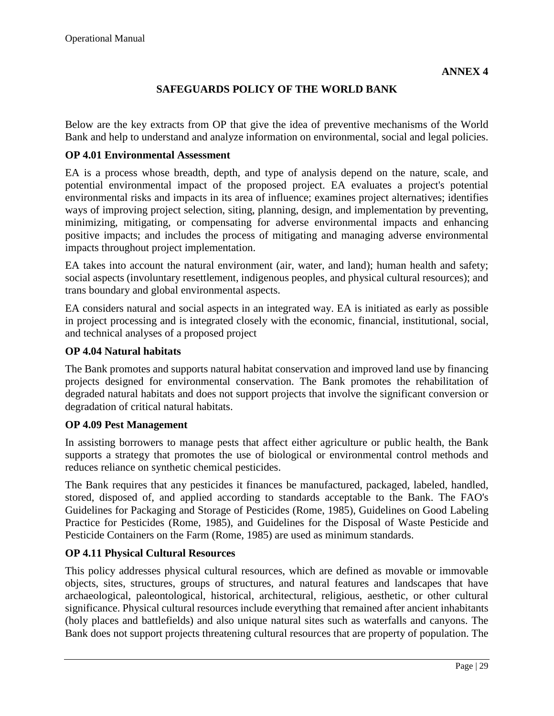## **SAFEGUARDS POLICY OF THE WORLD BANK**

Below are the key extracts from OP that give the idea of preventive mechanisms of the World Bank and help to understand and analyze information on environmental, social and legal policies.

#### **OP 4.01 Environmental Assessment**

EA is a process whose breadth, depth, and type of analysis depend on the nature, scale, and potential environmental impact of the proposed project. EA evaluates a project's potential environmental risks and impacts in its area of influence; examines project alternatives; identifies ways of improving project selection, siting, planning, design, and implementation by preventing, minimizing, mitigating, or compensating for adverse environmental impacts and enhancing positive impacts; and includes the process of mitigating and managing adverse environmental impacts throughout project implementation.

EA takes into account the natural environment (air, water, and land); human health and safety; social aspects (involuntary resettlement, indigenous peoples, and physical cultural resources); and trans boundary and global environmental aspects.

EA considers natural and social aspects in an integrated way. EA is initiated as early as possible in project processing and is integrated closely with the economic, financial, institutional, social, and technical analyses of a proposed project

#### **OP 4.04 Natural habitats**

The Bank promotes and supports natural habitat conservation and improved land use by financing projects designed for environmental conservation. The Bank promotes the rehabilitation of degraded natural habitats and does not support projects that involve the significant conversion or degradation of critical natural habitats.

#### **OP 4.09 Pest Management**

In assisting borrowers to manage pests that affect either agriculture or public health, the Bank supports a strategy that promotes the use of biological or environmental control methods and reduces reliance on synthetic chemical pesticides.

The Bank requires that any pesticides it finances be manufactured, packaged, labeled, handled, stored, disposed of, and applied according to standards acceptable to the Bank. The FAO's Guidelines for Packaging and Storage of Pesticides (Rome, 1985), Guidelines on Good Labeling Practice for Pesticides (Rome, 1985), and Guidelines for the Disposal of Waste Pesticide and Pesticide Containers on the Farm (Rome, 1985) are used as minimum standards.

#### **OP 4.11 Physical Cultural Resources**

This policy addresses physical cultural resources, which are defined as movable or immovable objects, sites, structures, groups of structures, and natural features and landscapes that have archaeological, paleontological, historical, architectural, religious, aesthetic, or other cultural significance. Physical cultural resources include everything that remained after ancient inhabitants (holy places and battlefields) and also unique natural sites such as waterfalls and canyons. The Bank does not support projects threatening cultural resources that are property of population. The